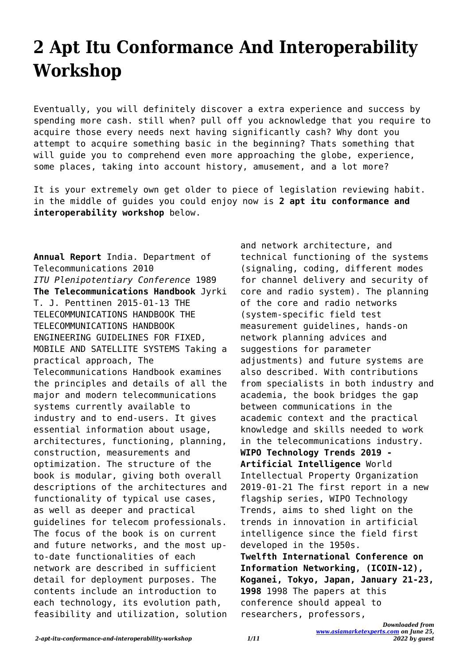## **2 Apt Itu Conformance And Interoperability Workshop**

Eventually, you will definitely discover a extra experience and success by spending more cash. still when? pull off you acknowledge that you require to acquire those every needs next having significantly cash? Why dont you attempt to acquire something basic in the beginning? Thats something that will guide you to comprehend even more approaching the globe, experience, some places, taking into account history, amusement, and a lot more?

It is your extremely own get older to piece of legislation reviewing habit. in the middle of guides you could enjoy now is **2 apt itu conformance and interoperability workshop** below.

**Annual Report** India. Department of Telecommunications 2010 *ITU Plenipotentiary Conference* 1989 **The Telecommunications Handbook** Jyrki T. J. Penttinen 2015-01-13 THE TELECOMMUNICATIONS HANDBOOK THE TELECOMMUNICATIONS HANDBOOK ENGINEERING GUIDELINES FOR FIXED, MOBILE AND SATELLITE SYSTEMS Taking a practical approach, The Telecommunications Handbook examines the principles and details of all the major and modern telecommunications systems currently available to industry and to end-users. It gives essential information about usage, architectures, functioning, planning, construction, measurements and optimization. The structure of the book is modular, giving both overall descriptions of the architectures and functionality of typical use cases, as well as deeper and practical guidelines for telecom professionals. The focus of the book is on current and future networks, and the most upto-date functionalities of each network are described in sufficient detail for deployment purposes. The contents include an introduction to each technology, its evolution path, feasibility and utilization, solution and network architecture, and technical functioning of the systems (signaling, coding, different modes for channel delivery and security of core and radio system). The planning of the core and radio networks (system-specific field test measurement guidelines, hands-on network planning advices and suggestions for parameter adjustments) and future systems are also described. With contributions from specialists in both industry and academia, the book bridges the gap between communications in the academic context and the practical knowledge and skills needed to work in the telecommunications industry. **WIPO Technology Trends 2019 - Artificial Intelligence** World Intellectual Property Organization 2019-01-21 The first report in a new flagship series, WIPO Technology Trends, aims to shed light on the trends in innovation in artificial intelligence since the field first developed in the 1950s. **Twelfth International Conference on Information Networking, (ICOIN-12), Koganei, Tokyo, Japan, January 21-23, 1998** 1998 The papers at this conference should appeal to researchers, professors,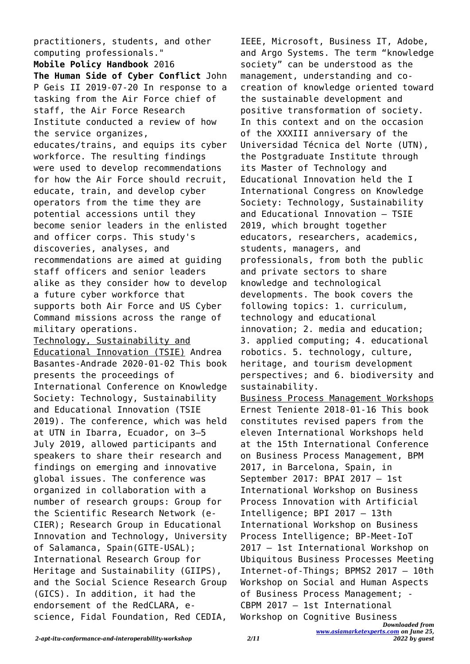practitioners, students, and other computing professionals." **Mobile Policy Handbook** 2016 **The Human Side of Cyber Conflict** John P Geis II 2019-07-20 In response to a tasking from the Air Force chief of staff, the Air Force Research Institute conducted a review of how the service organizes, educates/trains, and equips its cyber workforce. The resulting findings were used to develop recommendations for how the Air Force should recruit, educate, train, and develop cyber operators from the time they are potential accessions until they become senior leaders in the enlisted and officer corps. This study's discoveries, analyses, and recommendations are aimed at guiding staff officers and senior leaders alike as they consider how to develop a future cyber workforce that supports both Air Force and US Cyber Command missions across the range of military operations. Technology, Sustainability and Educational Innovation (TSIE) Andrea Basantes-Andrade 2020-01-02 This book presents the proceedings of International Conference on Knowledge Society: Technology, Sustainability and Educational Innovation (TSIE 2019). The conference, which was held at UTN in Ibarra, Ecuador, on 3–5 July 2019, allowed participants and speakers to share their research and findings on emerging and innovative global issues. The conference was organized in collaboration with a number of research groups: Group for the Scientific Research Network (e-CIER); Research Group in Educational Innovation and Technology, University of Salamanca, Spain(GITE-USAL); International Research Group for Heritage and Sustainability (GIIPS), and the Social Science Research Group (GICS). In addition, it had the endorsement of the RedCLARA, escience, Fidal Foundation, Red CEDIA,

IEEE, Microsoft, Business IT, Adobe, and Argo Systems. The term "knowledge society" can be understood as the management, understanding and cocreation of knowledge oriented toward the sustainable development and positive transformation of society. In this context and on the occasion of the XXXIII anniversary of the Universidad Técnica del Norte (UTN), the Postgraduate Institute through its Master of Technology and Educational Innovation held the I International Congress on Knowledge Society: Technology, Sustainability and Educational Innovation – TSIE 2019, which brought together educators, researchers, academics, students, managers, and professionals, from both the public and private sectors to share knowledge and technological developments. The book covers the following topics: 1. curriculum, technology and educational innovation; 2. media and education; 3. applied computing; 4. educational robotics. 5. technology, culture, heritage, and tourism development perspectives; and 6. biodiversity and sustainability. Business Process Management Workshops Ernest Teniente 2018-01-16 This book constitutes revised papers from the eleven International Workshops held at the 15th International Conference on Business Process Management, BPM 2017, in Barcelona, Spain, in September 2017: BPAI 2017 – 1st International Workshop on Business Process Innovation with Artificial Intelligence; BPI 2017 – 13th International Workshop on Business Process Intelligence; BP-Meet-IoT 2017 – 1st International Workshop on Ubiquitous Business Processes Meeting Internet-of-Things; BPMS2 2017 – 10th Workshop on Social and Human Aspects of Business Process Management; ‐

CBPM 2017 – 1st International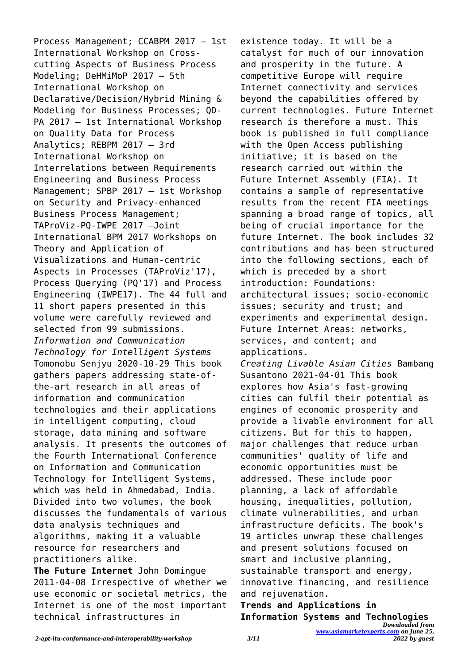Process Management; CCABPM 2017 – 1st International Workshop on Crosscutting Aspects of Business Process Modeling; DeHMiMoP 2017 – 5th International Workshop on Declarative/Decision/Hybrid Mining & Modeling for Business Processes; QD-PA 2017 – 1st International Workshop on Quality Data for Process Analytics; REBPM 2017 – 3rd International Workshop on Interrelations between Requirements Engineering and Business Process Management; SPBP 2017 – 1st Workshop on Security and Privacy-enhanced Business Process Management; TAProViz-PQ-IWPE 2017 –Joint International BPM 2017 Workshops on Theory and Application of Visualizations and Human-centric Aspects in Processes (TAProViz'17), Process Querying (PQ'17) and Process Engineering (IWPE17). The 44 full and 11 short papers presented in this volume were carefully reviewed and selected from 99 submissions. *Information and Communication Technology for Intelligent Systems* Tomonobu Senjyu 2020-10-29 This book gathers papers addressing state-ofthe-art research in all areas of information and communication technologies and their applications in intelligent computing, cloud storage, data mining and software analysis. It presents the outcomes of the Fourth International Conference on Information and Communication Technology for Intelligent Systems, which was held in Ahmedabad, India. Divided into two volumes, the book discusses the fundamentals of various data analysis techniques and algorithms, making it a valuable resource for researchers and practitioners alike. **The Future Internet** John Domingue

2011-04-08 Irrespective of whether we use economic or societal metrics, the Internet is one of the most important technical infrastructures in

existence today. It will be a catalyst for much of our innovation and prosperity in the future. A competitive Europe will require Internet connectivity and services beyond the capabilities offered by current technologies. Future Internet research is therefore a must. This book is published in full compliance with the Open Access publishing initiative; it is based on the research carried out within the Future Internet Assembly (FIA). It contains a sample of representative results from the recent FIA meetings spanning a broad range of topics, all being of crucial importance for the future Internet. The book includes 32 contributions and has been structured into the following sections, each of which is preceded by a short introduction: Foundations: architectural issues; socio-economic issues; security and trust; and experiments and experimental design. Future Internet Areas: networks, services, and content; and applications. *Creating Livable Asian Cities* Bambang Susantono 2021-04-01 This book explores how Asia's fast-growing cities can fulfil their potential as engines of economic prosperity and provide a livable environment for all citizens. But for this to happen, major challenges that reduce urban communities' quality of life and economic opportunities must be addressed. These include poor planning, a lack of affordable housing, inequalities, pollution, climate vulnerabilities, and urban infrastructure deficits. The book's 19 articles unwrap these challenges and present solutions focused on

smart and inclusive planning, sustainable transport and energy, innovative financing, and resilience and rejuvenation.

*Downloaded from* **Trends and Applications in Information Systems and Technologies**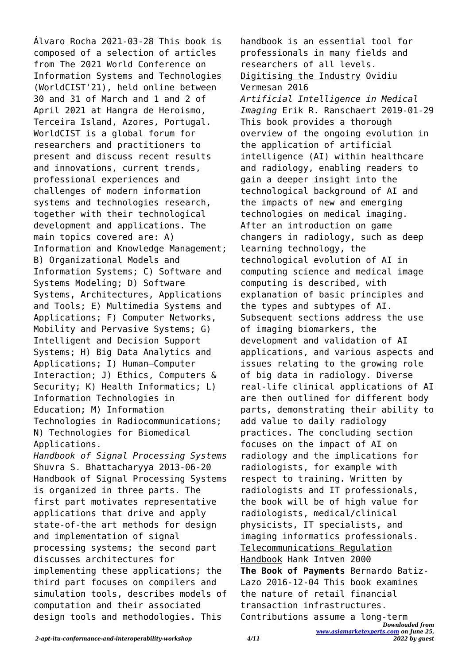Álvaro Rocha 2021-03-28 This book is composed of a selection of articles from The 2021 World Conference on Information Systems and Technologies (WorldCIST'21), held online between 30 and 31 of March and 1 and 2 of April 2021 at Hangra de Heroismo, Terceira Island, Azores, Portugal. WorldCIST is a global forum for researchers and practitioners to present and discuss recent results and innovations, current trends, professional experiences and challenges of modern information systems and technologies research, together with their technological development and applications. The main topics covered are: A) Information and Knowledge Management; B) Organizational Models and Information Systems; C) Software and Systems Modeling; D) Software Systems, Architectures, Applications and Tools; E) Multimedia Systems and Applications; F) Computer Networks, Mobility and Pervasive Systems; G) Intelligent and Decision Support Systems; H) Big Data Analytics and Applications; I) Human–Computer Interaction; J) Ethics, Computers & Security; K) Health Informatics; L) Information Technologies in Education; M) Information Technologies in Radiocommunications; N) Technologies for Biomedical Applications. *Handbook of Signal Processing Systems* Shuvra S. Bhattacharyya 2013-06-20 Handbook of Signal Processing Systems

is organized in three parts. The first part motivates representative applications that drive and apply state-of-the art methods for design and implementation of signal processing systems; the second part discusses architectures for implementing these applications; the third part focuses on compilers and simulation tools, describes models of computation and their associated design tools and methodologies. This

*Downloaded from* handbook is an essential tool for professionals in many fields and researchers of all levels. Digitising the Industry Ovidiu Vermesan 2016 *Artificial Intelligence in Medical Imaging* Erik R. Ranschaert 2019-01-29 This book provides a thorough overview of the ongoing evolution in the application of artificial intelligence (AI) within healthcare and radiology, enabling readers to gain a deeper insight into the technological background of AI and the impacts of new and emerging technologies on medical imaging. After an introduction on game changers in radiology, such as deep learning technology, the technological evolution of AI in computing science and medical image computing is described, with explanation of basic principles and the types and subtypes of AI. Subsequent sections address the use of imaging biomarkers, the development and validation of AI applications, and various aspects and issues relating to the growing role of big data in radiology. Diverse real-life clinical applications of AI are then outlined for different body parts, demonstrating their ability to add value to daily radiology practices. The concluding section focuses on the impact of AI on radiology and the implications for radiologists, for example with respect to training. Written by radiologists and IT professionals, the book will be of high value for radiologists, medical/clinical physicists, IT specialists, and imaging informatics professionals. Telecommunications Regulation Handbook Hank Intven 2000 **The Book of Payments** Bernardo Batiz-Lazo 2016-12-04 This book examines the nature of retail financial transaction infrastructures. Contributions assume a long-term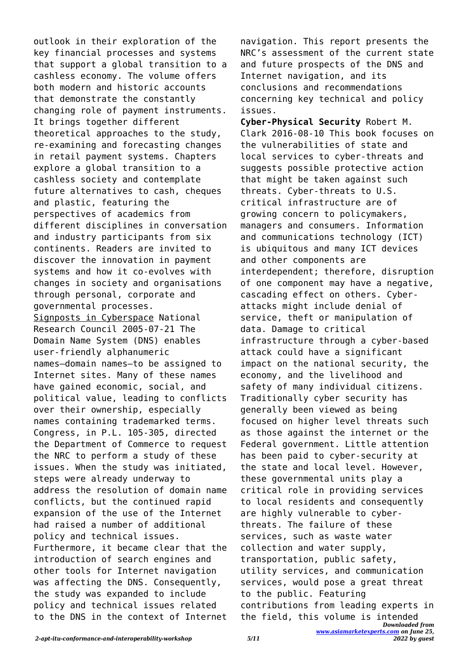outlook in their exploration of the key financial processes and systems that support a global transition to a cashless economy. The volume offers both modern and historic accounts that demonstrate the constantly changing role of payment instruments. It brings together different theoretical approaches to the study, re-examining and forecasting changes in retail payment systems. Chapters explore a global transition to a cashless society and contemplate future alternatives to cash, cheques and plastic, featuring the perspectives of academics from different disciplines in conversation and industry participants from six continents. Readers are invited to discover the innovation in payment systems and how it co-evolves with changes in society and organisations through personal, corporate and governmental processes. Signposts in Cyberspace National Research Council 2005-07-21 The Domain Name System (DNS) enables user-friendly alphanumeric names—domain names—to be assigned to Internet sites. Many of these names have gained economic, social, and political value, leading to conflicts over their ownership, especially names containing trademarked terms. Congress, in P.L. 105-305, directed the Department of Commerce to request the NRC to perform a study of these issues. When the study was initiated, steps were already underway to address the resolution of domain name conflicts, but the continued rapid expansion of the use of the Internet had raised a number of additional policy and technical issues. Furthermore, it became clear that the introduction of search engines and other tools for Internet navigation was affecting the DNS. Consequently, the study was expanded to include policy and technical issues related to the DNS in the context of Internet

navigation. This report presents the NRC's assessment of the current state and future prospects of the DNS and Internet navigation, and its conclusions and recommendations concerning key technical and policy issues.

*Downloaded from* **Cyber-Physical Security** Robert M. Clark 2016-08-10 This book focuses on the vulnerabilities of state and local services to cyber-threats and suggests possible protective action that might be taken against such threats. Cyber-threats to U.S. critical infrastructure are of growing concern to policymakers, managers and consumers. Information and communications technology (ICT) is ubiquitous and many ICT devices and other components are interdependent; therefore, disruption of one component may have a negative, cascading effect on others. Cyberattacks might include denial of service, theft or manipulation of data. Damage to critical infrastructure through a cyber-based attack could have a significant impact on the national security, the economy, and the livelihood and safety of many individual citizens. Traditionally cyber security has generally been viewed as being focused on higher level threats such as those against the internet or the Federal government. Little attention has been paid to cyber-security at the state and local level. However, these governmental units play a critical role in providing services to local residents and consequently are highly vulnerable to cyberthreats. The failure of these services, such as waste water collection and water supply, transportation, public safety, utility services, and communication services, would pose a great threat to the public. Featuring contributions from leading experts in the field, this volume is intended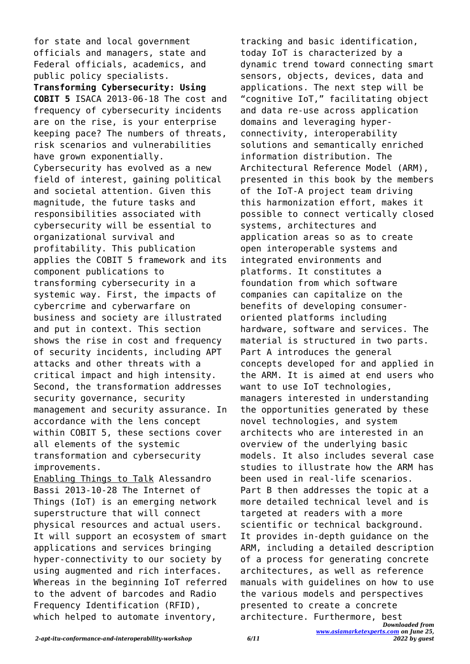for state and local government officials and managers, state and Federal officials, academics, and public policy specialists.

**Transforming Cybersecurity: Using COBIT 5** ISACA 2013-06-18 The cost and frequency of cybersecurity incidents are on the rise, is your enterprise keeping pace? The numbers of threats, risk scenarios and vulnerabilities have grown exponentially. Cybersecurity has evolved as a new field of interest, gaining political and societal attention. Given this magnitude, the future tasks and responsibilities associated with cybersecurity will be essential to organizational survival and profitability. This publication applies the COBIT 5 framework and its component publications to transforming cybersecurity in a systemic way. First, the impacts of cybercrime and cyberwarfare on business and society are illustrated and put in context. This section shows the rise in cost and frequency of security incidents, including APT attacks and other threats with a critical impact and high intensity. Second, the transformation addresses security governance, security management and security assurance. In accordance with the lens concept within COBIT 5, these sections cover all elements of the systemic transformation and cybersecurity improvements.

Enabling Things to Talk Alessandro Bassi 2013-10-28 The Internet of Things (IoT) is an emerging network superstructure that will connect physical resources and actual users. It will support an ecosystem of smart applications and services bringing hyper-connectivity to our society by using augmented and rich interfaces. Whereas in the beginning IoT referred to the advent of barcodes and Radio Frequency Identification (RFID), which helped to automate inventory,

*Downloaded from* tracking and basic identification, today IoT is characterized by a dynamic trend toward connecting smart sensors, objects, devices, data and applications. The next step will be "cognitive IoT," facilitating object and data re-use across application domains and leveraging hyperconnectivity, interoperability solutions and semantically enriched information distribution. The Architectural Reference Model (ARM), presented in this book by the members of the IoT-A project team driving this harmonization effort, makes it possible to connect vertically closed systems, architectures and application areas so as to create open interoperable systems and integrated environments and platforms. It constitutes a foundation from which software companies can capitalize on the benefits of developing consumeroriented platforms including hardware, software and services. The material is structured in two parts. Part A introduces the general concepts developed for and applied in the ARM. It is aimed at end users who want to use IoT technologies, managers interested in understanding the opportunities generated by these novel technologies, and system architects who are interested in an overview of the underlying basic models. It also includes several case studies to illustrate how the ARM has been used in real-life scenarios. Part B then addresses the topic at a more detailed technical level and is targeted at readers with a more scientific or technical background. It provides in-depth guidance on the ARM, including a detailed description of a process for generating concrete architectures, as well as reference manuals with guidelines on how to use the various models and perspectives presented to create a concrete architecture. Furthermore, best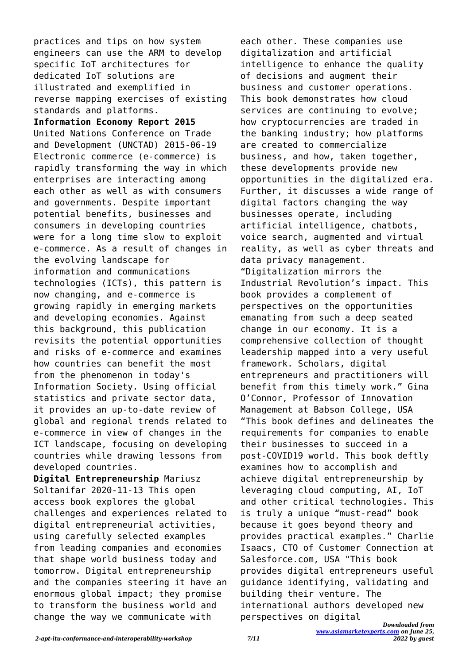practices and tips on how system engineers can use the ARM to develop specific IoT architectures for dedicated IoT solutions are illustrated and exemplified in reverse mapping exercises of existing standards and platforms.

**Information Economy Report 2015** United Nations Conference on Trade and Development (UNCTAD) 2015-06-19 Electronic commerce (e-commerce) is rapidly transforming the way in which enterprises are interacting among each other as well as with consumers and governments. Despite important potential benefits, businesses and consumers in developing countries were for a long time slow to exploit e-commerce. As a result of changes in the evolving landscape for information and communications technologies (ICTs), this pattern is now changing, and e-commerce is growing rapidly in emerging markets and developing economies. Against this background, this publication revisits the potential opportunities and risks of e-commerce and examines how countries can benefit the most from the phenomenon in today's Information Society. Using official statistics and private sector data, it provides an up-to-date review of global and regional trends related to e-commerce in view of changes in the ICT landscape, focusing on developing countries while drawing lessons from developed countries.

**Digital Entrepreneurship** Mariusz Soltanifar 2020-11-13 This open access book explores the global challenges and experiences related to digital entrepreneurial activities, using carefully selected examples from leading companies and economies that shape world business today and tomorrow. Digital entrepreneurship and the companies steering it have an enormous global impact; they promise to transform the business world and change the way we communicate with

each other. These companies use digitalization and artificial intelligence to enhance the quality of decisions and augment their business and customer operations. This book demonstrates how cloud services are continuing to evolve; how cryptocurrencies are traded in the banking industry; how platforms are created to commercialize business, and how, taken together, these developments provide new opportunities in the digitalized era. Further, it discusses a wide range of digital factors changing the way businesses operate, including artificial intelligence, chatbots, voice search, augmented and virtual reality, as well as cyber threats and data privacy management. "Digitalization mirrors the Industrial Revolution's impact. This book provides a complement of perspectives on the opportunities emanating from such a deep seated change in our economy. It is a comprehensive collection of thought leadership mapped into a very useful framework. Scholars, digital entrepreneurs and practitioners will benefit from this timely work." Gina O'Connor, Professor of Innovation Management at Babson College, USA "This book defines and delineates the requirements for companies to enable their businesses to succeed in a post-COVID19 world. This book deftly examines how to accomplish and achieve digital entrepreneurship by leveraging cloud computing, AI, IoT and other critical technologies. This is truly a unique "must-read" book because it goes beyond theory and provides practical examples." Charlie Isaacs, CTO of Customer Connection at Salesforce.com, USA "This book provides digital entrepreneurs useful guidance identifying, validating and building their venture. The international authors developed new perspectives on digital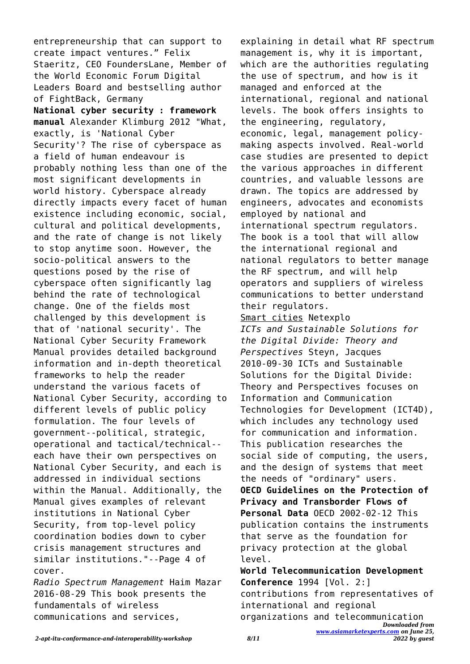entrepreneurship that can support to create impact ventures." Felix Staeritz, CEO FoundersLane, Member of the World Economic Forum Digital Leaders Board and bestselling author of FightBack, Germany **National cyber security : framework manual** Alexander Klimburg 2012 "What, exactly, is 'National Cyber Security'? The rise of cyberspace as a field of human endeavour is probably nothing less than one of the most significant developments in world history. Cyberspace already directly impacts every facet of human existence including economic, social, cultural and political developments, and the rate of change is not likely to stop anytime soon. However, the socio-political answers to the questions posed by the rise of cyberspace often significantly lag behind the rate of technological change. One of the fields most challenged by this development is that of 'national security'. The National Cyber Security Framework Manual provides detailed background information and in-depth theoretical frameworks to help the reader understand the various facets of National Cyber Security, according to different levels of public policy formulation. The four levels of government--political, strategic, operational and tactical/technical- each have their own perspectives on National Cyber Security, and each is addressed in individual sections within the Manual. Additionally, the Manual gives examples of relevant institutions in National Cyber Security, from top-level policy coordination bodies down to cyber crisis management structures and similar institutions."--Page 4 of cover.

*Radio Spectrum Management* Haim Mazar 2016-08-29 This book presents the fundamentals of wireless communications and services,

explaining in detail what RF spectrum management is, why it is important, which are the authorities regulating the use of spectrum, and how is it managed and enforced at the international, regional and national levels. The book offers insights to the engineering, regulatory, economic, legal, management policymaking aspects involved. Real-world case studies are presented to depict the various approaches in different countries, and valuable lessons are drawn. The topics are addressed by engineers, advocates and economists employed by national and international spectrum regulators. The book is a tool that will allow the international regional and national regulators to better manage the RF spectrum, and will help operators and suppliers of wireless communications to better understand their regulators. Smart cities Netexplo *ICTs and Sustainable Solutions for the Digital Divide: Theory and Perspectives* Steyn, Jacques 2010-09-30 ICTs and Sustainable Solutions for the Digital Divide: Theory and Perspectives focuses on Information and Communication Technologies for Development (ICT4D), which includes any technology used for communication and information. This publication researches the social side of computing, the users, and the design of systems that meet the needs of "ordinary" users. **OECD Guidelines on the Protection of Privacy and Transborder Flows of Personal Data** OECD 2002-02-12 This publication contains the instruments that serve as the foundation for privacy protection at the global

*Downloaded from [www.asiamarketexperts.com](https://www.asiamarketexperts.com) on June 25,* level. **World Telecommunication Development Conference** 1994 [Vol. 2:] contributions from representatives of international and regional organizations and telecommunication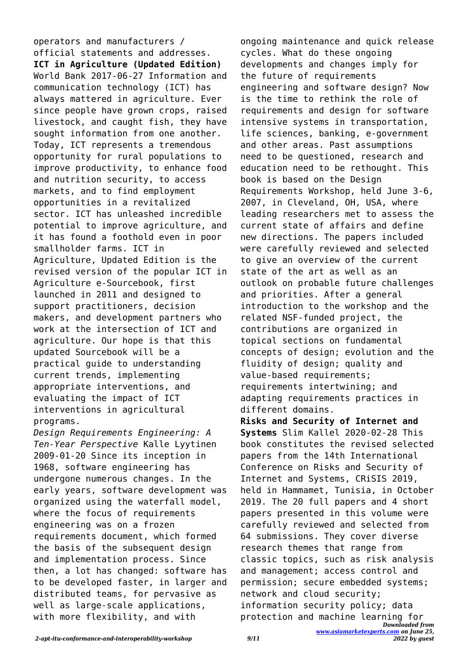operators and manufacturers / official statements and addresses. **ICT in Agriculture (Updated Edition)** World Bank 2017-06-27 Information and communication technology (ICT) has always mattered in agriculture. Ever since people have grown crops, raised livestock, and caught fish, they have sought information from one another. Today, ICT represents a tremendous opportunity for rural populations to improve productivity, to enhance food and nutrition security, to access markets, and to find employment opportunities in a revitalized sector. ICT has unleashed incredible potential to improve agriculture, and it has found a foothold even in poor smallholder farms. ICT in Agriculture, Updated Edition is the revised version of the popular ICT in Agriculture e-Sourcebook, first launched in 2011 and designed to support practitioners, decision makers, and development partners who work at the intersection of ICT and agriculture. Our hope is that this updated Sourcebook will be a practical guide to understanding current trends, implementing appropriate interventions, and evaluating the impact of ICT interventions in agricultural programs.

*Design Requirements Engineering: A Ten-Year Perspective* Kalle Lyytinen 2009-01-20 Since its inception in 1968, software engineering has undergone numerous changes. In the early years, software development was organized using the waterfall model, where the focus of requirements engineering was on a frozen requirements document, which formed the basis of the subsequent design and implementation process. Since then, a lot has changed: software has to be developed faster, in larger and distributed teams, for pervasive as well as large-scale applications, with more flexibility, and with

ongoing maintenance and quick release cycles. What do these ongoing developments and changes imply for the future of requirements engineering and software design? Now is the time to rethink the role of requirements and design for software intensive systems in transportation, life sciences, banking, e-government and other areas. Past assumptions need to be questioned, research and education need to be rethought. This book is based on the Design Requirements Workshop, held June 3-6, 2007, in Cleveland, OH, USA, where leading researchers met to assess the current state of affairs and define new directions. The papers included were carefully reviewed and selected to give an overview of the current state of the art as well as an outlook on probable future challenges and priorities. After a general introduction to the workshop and the related NSF-funded project, the contributions are organized in topical sections on fundamental concepts of design; evolution and the fluidity of design; quality and value-based requirements; requirements intertwining; and adapting requirements practices in different domains.

*Downloaded from [www.asiamarketexperts.com](https://www.asiamarketexperts.com) on June 25,* **Risks and Security of Internet and Systems** Slim Kallel 2020-02-28 This book constitutes the revised selected papers from the 14th International Conference on Risks and Security of Internet and Systems, CRiSIS 2019, held in Hammamet, Tunisia, in October 2019. The 20 full papers and 4 short papers presented in this volume were carefully reviewed and selected from 64 submissions. They cover diverse research themes that range from classic topics, such as risk analysis and management; access control and permission; secure embedded systems; network and cloud security; information security policy; data protection and machine learning for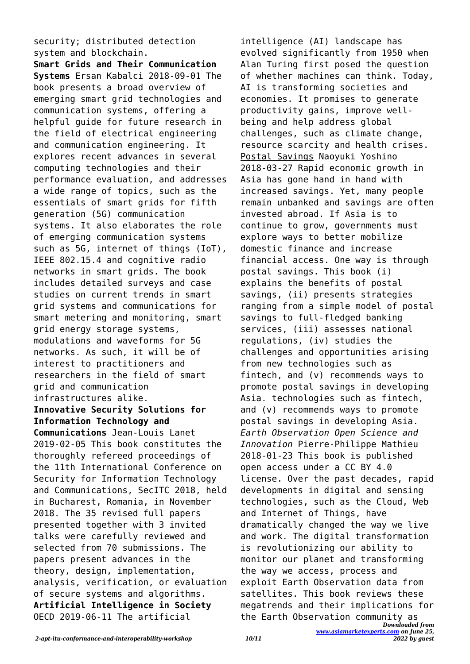security; distributed detection system and blockchain.

**Smart Grids and Their Communication Systems** Ersan Kabalci 2018-09-01 The book presents a broad overview of emerging smart grid technologies and communication systems, offering a helpful guide for future research in the field of electrical engineering and communication engineering. It explores recent advances in several computing technologies and their performance evaluation, and addresses a wide range of topics, such as the essentials of smart grids for fifth generation (5G) communication systems. It also elaborates the role of emerging communication systems such as 5G, internet of things (IoT), IEEE 802.15.4 and cognitive radio networks in smart grids. The book includes detailed surveys and case studies on current trends in smart grid systems and communications for smart metering and monitoring, smart grid energy storage systems, modulations and waveforms for 5G networks. As such, it will be of interest to practitioners and researchers in the field of smart grid and communication infrastructures alike. **Innovative Security Solutions for Information Technology and Communications** Jean-Louis Lanet 2019-02-05 This book constitutes the thoroughly refereed proceedings of the 11th International Conference on Security for Information Technology and Communications, SecITC 2018, held in Bucharest, Romania, in November 2018. The 35 revised full papers presented together with 3 invited talks were carefully reviewed and selected from 70 submissions. The papers present advances in the theory, design, implementation, analysis, verification, or evaluation of secure systems and algorithms. **Artificial Intelligence in Society** OECD 2019-06-11 The artificial

*Downloaded from* the Earth Observation community asintelligence (AI) landscape has evolved significantly from 1950 when Alan Turing first posed the question of whether machines can think. Today, AI is transforming societies and economies. It promises to generate productivity gains, improve wellbeing and help address global challenges, such as climate change, resource scarcity and health crises. Postal Savings Naoyuki Yoshino 2018-03-27 Rapid economic growth in Asia has gone hand in hand with increased savings. Yet, many people remain unbanked and savings are often invested abroad. If Asia is to continue to grow, governments must explore ways to better mobilize domestic finance and increase financial access. One way is through postal savings. This book (i) explains the benefits of postal savings, (ii) presents strategies ranging from a simple model of postal savings to full-fledged banking services, (iii) assesses national regulations, (iv) studies the challenges and opportunities arising from new technologies such as fintech, and (v) recommends ways to promote postal savings in developing Asia. technologies such as fintech, and (v) recommends ways to promote postal savings in developing Asia. *Earth Observation Open Science and Innovation* Pierre-Philippe Mathieu 2018-01-23 This book is published open access under a CC BY 4.0 license. Over the past decades, rapid developments in digital and sensing technologies, such as the Cloud, Web and Internet of Things, have dramatically changed the way we live and work. The digital transformation is revolutionizing our ability to monitor our planet and transforming the way we access, process and exploit Earth Observation data from satellites. This book reviews these megatrends and their implications for